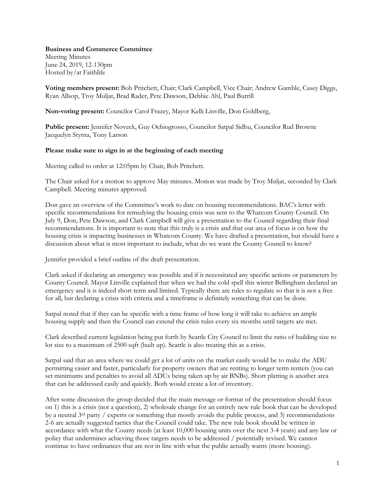## **Business and Commerce Committee**

Meeting Minutes June 24, 2019, 12-130pm Hosted by/at Faithlife

**Voting members present:** Bob Pritchett, Chair; Clark Campbell, Vice Chair; Andrew Gamble, Casey Diggs, Ryan Allsop, Troy Muljat, Brad Rader, Pete Dawson, Debbie Ahl, Paul Burrill

**Non-voting present:** Councilor Carol Frazey, Mayor Kelli Linville, Don Goldberg,

**Public present:** Jennifer Noveck, Guy Ochiogrosso, Councilor Satpal Sidhu, Councilor Rud Browne Jacquelyn Styrna, Tony Larson

## **Please make sure to sign in at the beginning of each meeting**

Meeting called to order at 12:05pm by Chair, Bob Pritchett.

The Chair asked for a motion to approve May minutes. Motion was made by Troy Muljat, seconded by Clark Campbell. Meeting minutes approved.

Don gave an overview of the Committee's work to date on housing recommendations. BAC's letter with specific recommendations for remedying the housing crisis was sent to the Whatcom County Council. On July 9, Don, Pete Dawson, and Clark Campbell will give a presentation to the Council regarding their final recommendations. It is important to note that this truly is a crisis and that our area of focus is on how the housing crisis is impacting businesses in Whatcom County. We have drafted a presentation, but should have a discussion about what is most important to include, what do we want the County Council to know?

Jennifer provided a brief outline of the draft presentation.

Clark asked if declaring an emergency was possible and if it necessitated any specific actions or parameters by County Council. Mayor Linville explained that when we had the cold spell this winter Bellingham declared an emergency and it is indeed short term and limited. Typically there are rules to regulate so that it is not a free for all, but declaring a crisis with criteria and a timeframe is definitely something that can be done.

Satpal noted that if they can be specific with a time frame of how long it will take to achieve an ample housing supply and then the Council can extend the crisis rules every six months until targets are met.

Clark described current legislation being put forth by Seattle City Council to limit the ratio of building size to lot size to a maximum of 2500 sqft (built up). Seattle is also treating this as a crisis.

Satpal said that an area where we could get a lot of units on the market easily would be to make the ADU permitting easier and faster, particularly for property owners that are renting to longer term renters (you can set minimums and penalties to avoid all ADUs being taken up by air BNBs). Short platting is another area that can be addressed easily and quickly. Both would create a lot of inventory.

After some discussion the group decided that the main message or format of the presentation should focus on 1) this is a crisis (not a question), 2) wholesale change for an entirely new rule book that can be developed by a neutral 3rd party / experts or something that mostly avoids the public process, and 3) recommendations 2-6 are actually suggested tactics that the Council could take. The new rule book should be written in accordance with what the County needs (at least 10,000 housing units over the next 3-4 years) and any law or policy that undermines achieving those targets needs to be addressed / potentially revised. We cannot continue to have ordinances that are not in line with what the public actually wants (more housing).